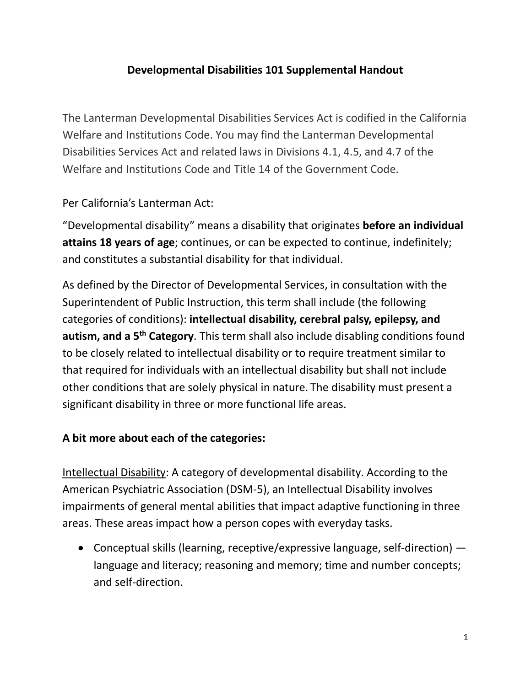## **Developmental Disabilities 101 Supplemental Handout**

The Lanterman Developmental Disabilities Services Act is codified in the California Welfare and Institutions Code. You may find the Lanterman Developmental Disabilities Services Act and related laws in Divisions 4.1, 4.5, and 4.7 of the Welfare and Institutions Code and Title 14 of the Government Code.

Per California's Lanterman Act:

"Developmental disability" means a disability that originates **before an individual attains 18 years of age**; continues, or can be expected to continue, indefinitely; and constitutes a substantial disability for that individual.

As defined by the Director of Developmental Services, in consultation with the Superintendent of Public Instruction, this term shall include (the following categories of conditions): **intellectual disability, cerebral palsy, epilepsy, and autism, and a 5th Category**. This term shall also include disabling conditions found to be closely related to intellectual disability or to require treatment similar to that required for individuals with an intellectual disability but shall not include other conditions that are solely physical in nature. The disability must present a significant disability in three or more functional life areas.

## **A bit more about each of the categories:**

Intellectual Disability: A category of developmental disability. According to the American Psychiatric Association (DSM-5), an Intellectual Disability involves impairments of general mental abilities that impact adaptive functioning in three areas. These areas impact how a person copes with everyday tasks.

• Conceptual skills (learning, receptive/expressive language, self-direction) language and literacy; reasoning and memory; time and number concepts; and self-direction.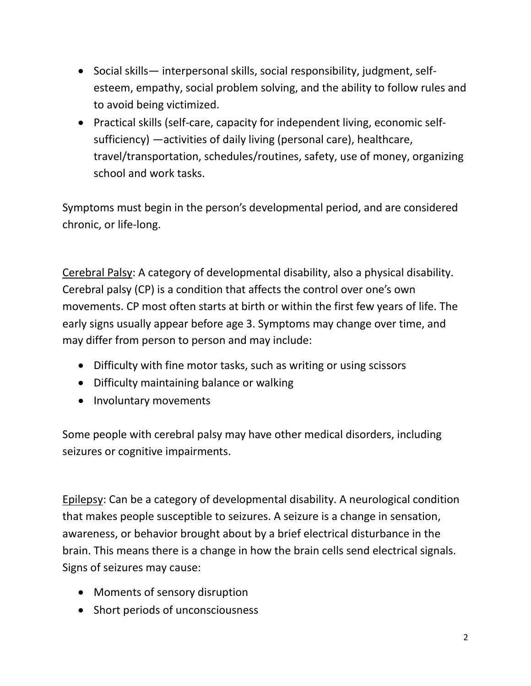- Social skills— interpersonal skills, social responsibility, judgment, selfesteem, empathy, social problem solving, and the ability to follow rules and to avoid being victimized.
- Practical skills (self-care, capacity for independent living, economic selfsufficiency) —activities of daily living (personal care), healthcare, travel/transportation, schedules/routines, safety, use of money, organizing school and work tasks.

Symptoms must begin in the person's developmental period, and are considered chronic, or life-long.

Cerebral Palsy: A category of developmental disability, also a physical disability. Cerebral palsy (CP) is a condition that affects the control over one's own movements. CP most often starts at birth or within the first few years of life. The early signs usually appear before age 3. Symptoms may change over time, and may differ from person to person and may include:

- Difficulty with fine motor tasks, such as writing or using scissors
- Difficulty maintaining balance or walking
- Involuntary movements

Some people with cerebral palsy may have other medical disorders, including seizures or cognitive impairments.

Epilepsy: Can be a category of developmental disability. A neurological condition that makes people susceptible to seizures. A seizure is a change in sensation, awareness, or behavior brought about by a brief electrical disturbance in the brain. This means there is a change in how the brain cells send electrical signals. Signs of seizures may cause:

- Moments of sensory disruption
- Short periods of unconsciousness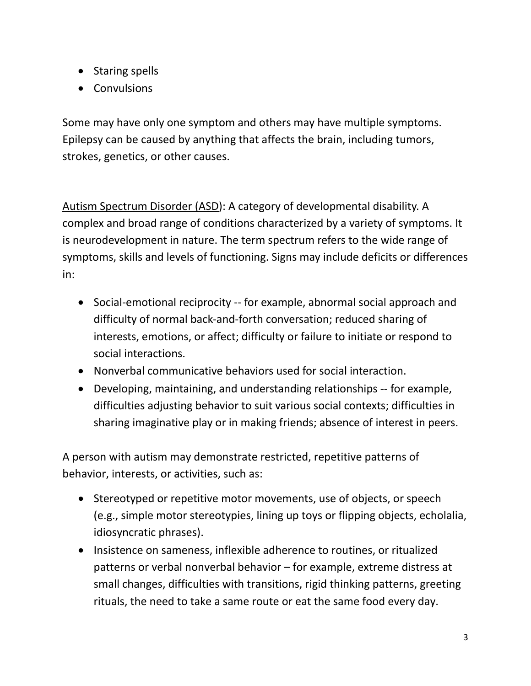- Staring spells
- Convulsions

Some may have only one symptom and others may have multiple symptoms. Epilepsy can be caused by anything that affects the brain, including tumors, strokes, genetics, or other causes.

Autism Spectrum Disorder (ASD): A category of developmental disability. A complex and broad range of conditions characterized by a variety of symptoms. It is neurodevelopment in nature. The term spectrum refers to the wide range of symptoms, skills and levels of functioning. Signs may include deficits or differences in:

- Social-emotional reciprocity -- for example, abnormal social approach and difficulty of normal back-and-forth conversation; reduced sharing of interests, emotions, or affect; difficulty or failure to initiate or respond to social interactions.
- Nonverbal communicative behaviors used for social interaction.
- Developing, maintaining, and understanding relationships -- for example, difficulties adjusting behavior to suit various social contexts; difficulties in sharing imaginative play or in making friends; absence of interest in peers.

A person with autism may demonstrate restricted, repetitive patterns of behavior, interests, or activities, such as:

- Stereotyped or repetitive motor movements, use of objects, or speech (e.g., simple motor stereotypies, lining up toys or flipping objects, echolalia, idiosyncratic phrases).
- Insistence on sameness, inflexible adherence to routines, or ritualized patterns or verbal nonverbal behavior – for example, extreme distress at small changes, difficulties with transitions, rigid thinking patterns, greeting rituals, the need to take a same route or eat the same food every day.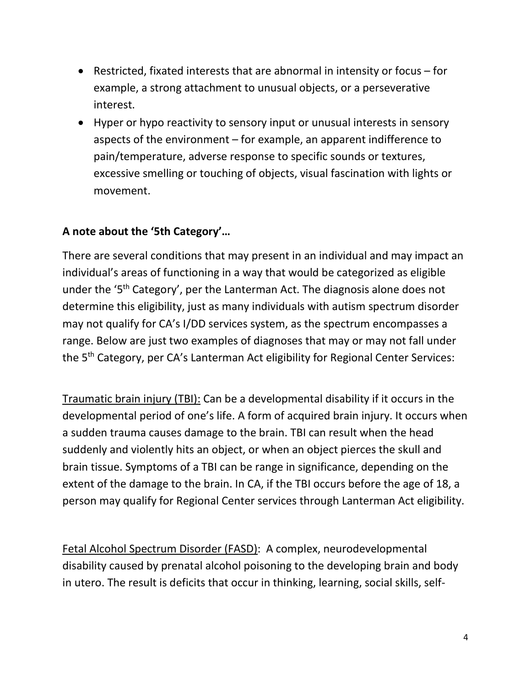- Restricted, fixated interests that are abnormal in intensity or focus for example, a strong attachment to unusual objects, or a perseverative interest.
- Hyper or hypo reactivity to sensory input or unusual interests in sensory aspects of the environment – for example, an apparent indifference to pain/temperature, adverse response to specific sounds or textures, excessive smelling or touching of objects, visual fascination with lights or movement.

## **A note about the '5th Category'…**

There are several conditions that may present in an individual and may impact an individual's areas of functioning in a way that would be categorized as eligible under the '5<sup>th</sup> Category', per the Lanterman Act. The diagnosis alone does not determine this eligibility, just as many individuals with autism spectrum disorder may not qualify for CA's I/DD services system, as the spectrum encompasses a range. Below are just two examples of diagnoses that may or may not fall under the 5<sup>th</sup> Category, per CA's Lanterman Act eligibility for Regional Center Services:

Traumatic brain injury (TBI): Can be a developmental disability if it occurs in the developmental period of one's life. A form of acquired brain injury. It occurs when a sudden trauma causes damage to the brain. TBI can result when the head suddenly and violently hits an object, or when an object pierces the skull and brain tissue. Symptoms of a TBI can be range in significance, depending on the extent of the damage to the brain. In CA, if the TBI occurs before the age of 18, a person may qualify for Regional Center services through Lanterman Act eligibility.

Fetal Alcohol Spectrum Disorder (FASD): A complex, neurodevelopmental disability caused by prenatal alcohol poisoning to the developing brain and body in utero. The result is deficits that occur in thinking, learning, social skills, self